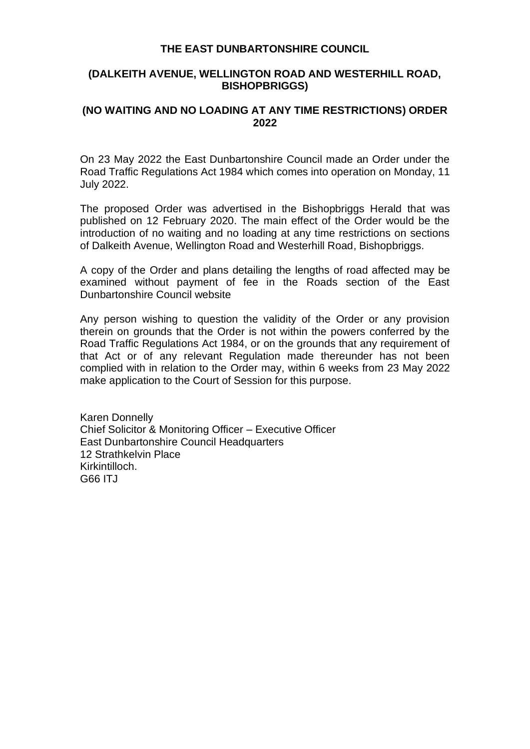#### **THE EAST DUNBARTONSHIRE COUNCIL**

#### **(DALKEITH AVENUE, WELLINGTON ROAD AND WESTERHILL ROAD, BISHOPBRIGGS)**

# **(NO WAITING AND NO LOADING AT ANY TIME RESTRICTIONS) ORDER 2022**

On 23 May 2022 the East Dunbartonshire Council made an Order under the Road Traffic Regulations Act 1984 which comes into operation on Monday, 11 July 2022.

The proposed Order was advertised in the Bishopbriggs Herald that was published on 12 February 2020. The main effect of the Order would be the introduction of no waiting and no loading at any time restrictions on sections of Dalkeith Avenue, Wellington Road and Westerhill Road, Bishopbriggs.

A copy of the Order and plans detailing the lengths of road affected may be examined without payment of fee in the Roads section of the East Dunbartonshire Council website

Any person wishing to question the validity of the Order or any provision therein on grounds that the Order is not within the powers conferred by the Road Traffic Regulations Act 1984, or on the grounds that any requirement of that Act or of any relevant Regulation made thereunder has not been complied with in relation to the Order may, within 6 weeks from 23 May 2022 make application to the Court of Session for this purpose.

Karen Donnelly Chief Solicitor & Monitoring Officer – Executive Officer East Dunbartonshire Council Headquarters 12 Strathkelvin Place Kirkintilloch. G66 ITJ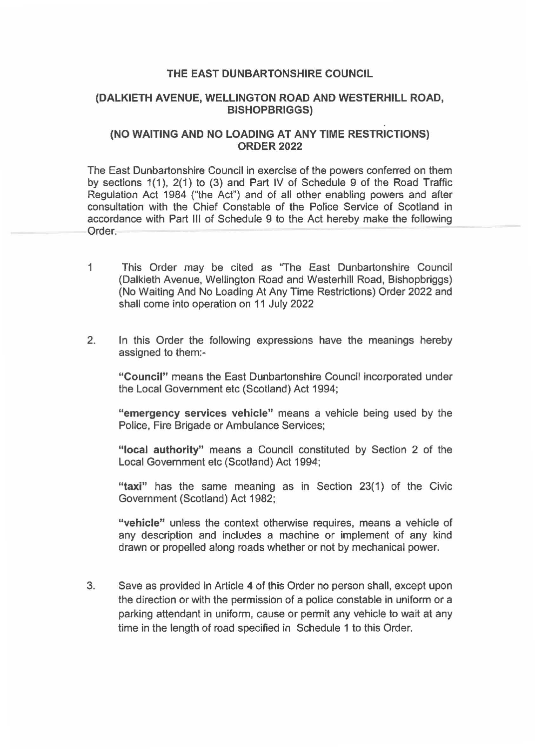#### **THE EAST DUNBARTONSHIRE COUNCIL**

### **(DALKIETH AVENUE, WELLINGTON ROAD AND WESTERHILL ROAD, BISHOPBRIGGS)**

### **(NO WAITING AND NO LOADING AT ANY TIME RESTRICTIONS) ORDER2022**

The East Dunbartonshire Council in exercise of the powers conferred on them by sections 1(1), 2(1) to (3) and Part IV of Schedule 9 of the Road Traffic Regulation Act 1984 ("the Act") and of all other enabling powers and after consultation with the Chief Constable of the Police Service of Scotland in accordance with Part Ill of Schedule 9 to the Act hereby make the following Order.

- 1 This Order may be cited as "The East Dunbartonshire Council (Dalkieth Avenue, Wellington Road and Westerhill Road, Bishopbriggs) (No Waiting And No Loading At Any Time Restrictions) Order 2022 and shall come into operation on 11 July 2022
- 2. In this Order the following expressions have the meanings hereby assigned to them:-

**"Council"** means the East Dunbartonshire Council incorporated under the Local Government etc (Scotland) Act 1994;

**"emergency services vehicle"** means a vehicle being used by the Police, Fire Brigade or Ambulance Services;

**"local authority"** means a Council constituted by Section 2 of the Local Government etc (Scotland) Act 1994;

**"taxi"** has the same meaning as in Section 23(1) of the Civic Government (Scotland) Act 1982;

**"vehicle"** unless the context otherwise requires, means a vehicle of any description and includes a machine or implement of any kind drawn or propelled along roads whether or not by mechanical power.

3. Save as provided in Article 4 of this Order no person shall, except upon the direction or with the permission of a police constable in uniform or a parking attendant in uniform, cause or permit any vehicle to wait at any time in the length of road specified in Schedule 1 to this Order.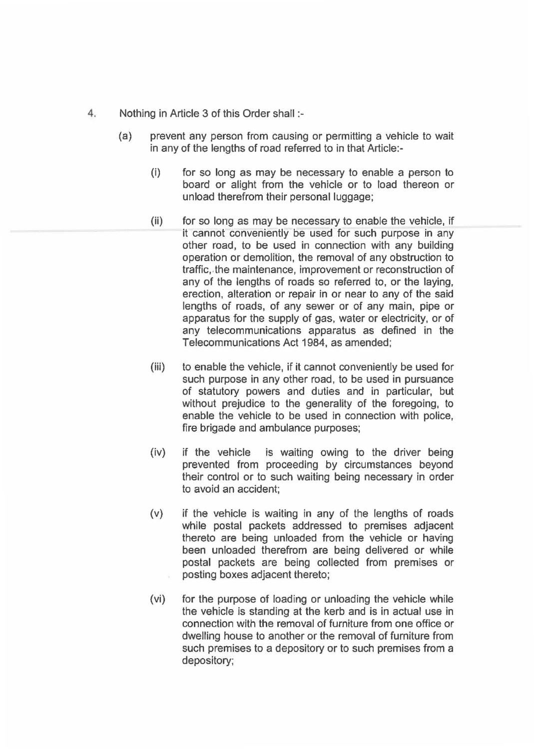- 4. Nothing in Article 3 of this Order shall:-
	- (a) prevent any person from causing or permitting a vehicle to wait in any of the lengths of road referred to in that Article:-
		- (i) for so long as may be necessary to enable a person to board or alight from the vehicle or to load thereon or unload therefrom their personal luggage;
		- (ii) for so long as may be necessary to enable the vehicle, if it cannot conveniently be used for such purpose in any other road, to be used in connection with any building operation or demolition, the removal of any obstruction to traffic,.the maintenance, improvement or reconstruction of any of the lengths of roads so referred to, or the laying, erection, alteration or repair in or near to any of the said lengths of roads, of any sewer or of any main, pipe or apparatus for the supply of gas, water or electricity, or of any telecommunications apparatus as defined in the Telecommunications Act 1984, as amended;
		- (iii) to enable the vehicle, if it cannot conveniently be used for such purpose in any other road, to be used in pursuance of statutory powers and duties and in particular, but without prejudice to the generality of the foregoing, to enable the vehicle to be used in connection with police, fire brigade and ambulance purposes;
		- (iv) if the vehicle is waiting owing to the driver being prevented from proceeding by circumstances beyond their control or to such waiting being necessary in order to avoid an accident;
		- (v) if the vehicle is waiting in any of the lengths of roads while postal packets addressed to premises adjacent thereto are being unloaded from the vehicle or having been unloaded therefrom are being delivered or while postal packets are being collected from premises or posting boxes adjacent thereto;
		- (vi) for the purpose of loading or unloading the vehicle while the vehicle is standing at the kerb and is in actual use in connection with the removal of furniture from one office or dwelling house to another or the removal of furniture from such premises to a depository or to such premises from a depository;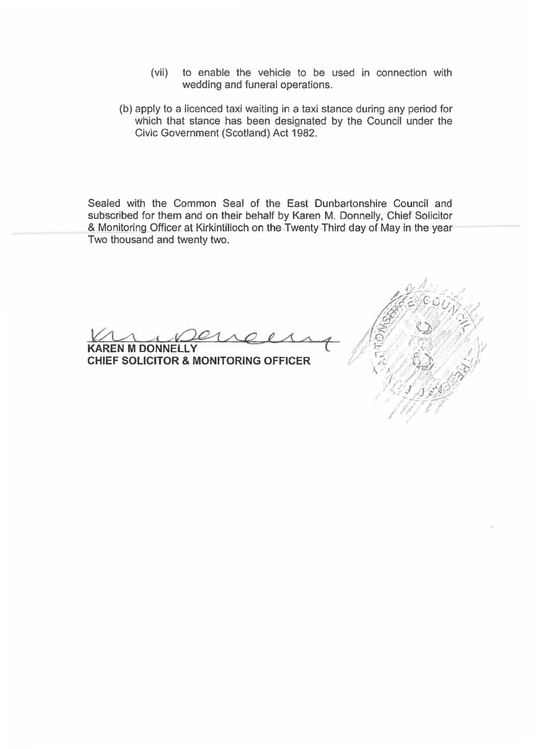- (vii) to enable the vehicle to be used in connection with wedding and funeral operations.
- (b) apply to a licenced taxi waiting in a taxi stance during any period for which that stance has been designated by the Council under the Civic Government {Scotland) Act 1982.

Sealed with the Common Seal of the East Dunbartonshire Council and subscribed for them and on their behalf by Karen M. Donnelly, Chief Solicitor & Monitoring Officer at Kirkintilloch on the Twenty Third day of May in the year Two thousand and twenty two.

**KAREN M DONNELLY CHIEF SOLICITOR & MONITORING OFFICER** 

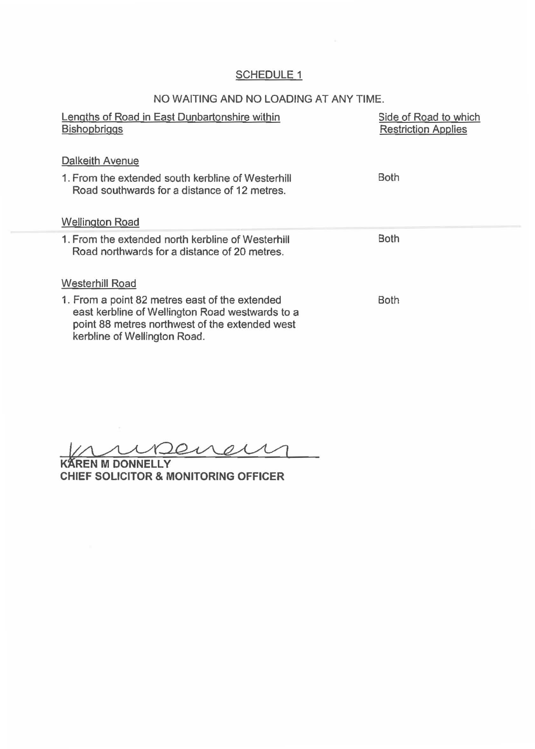# SCHEDULE<sub>1</sub>

# NO WAITING AND NO LOADING AT ANY TIME.

| Lengths of Road in East Dunbartonshire within<br><b>Bishopbriggs</b>                                                                                                                | Side of Road to which<br><b>Restriction Applies</b> |
|-------------------------------------------------------------------------------------------------------------------------------------------------------------------------------------|-----------------------------------------------------|
| Dalkeith Avenue                                                                                                                                                                     |                                                     |
| 1. From the extended south kerbline of Westerhill<br>Road southwards for a distance of 12 metres.                                                                                   | Both                                                |
| <b>Wellington Road</b>                                                                                                                                                              |                                                     |
| 1. From the extended north kerbline of Westerhill<br>Road northwards for a distance of 20 metres.                                                                                   | Both                                                |
| <b>Westerhill Road</b>                                                                                                                                                              |                                                     |
| 1. From a point 82 metres east of the extended<br>east kerbline of Wellington Road westwards to a<br>point 88 metres northwest of the extended west<br>kerbline of Wellington Road. | <b>Both</b>                                         |

ureneur

**RAN M DONNELLY CHIEF SOLICITOR & MONITORING OFFICER**